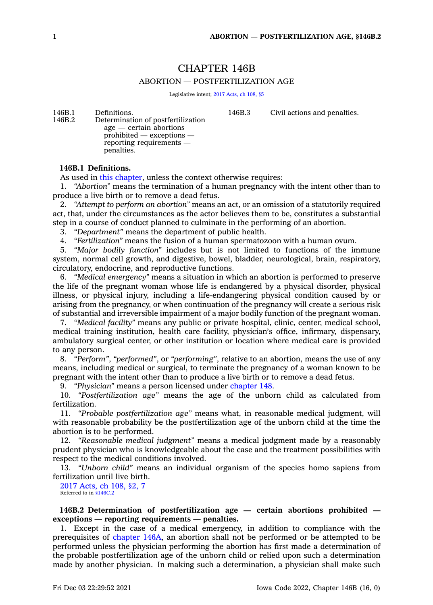## CHAPTER 146B ABORTION — POSTFERTILIZATION AGE

Legislative intent; 2017 [Acts,](https://www.legis.iowa.gov/docs/acts/2017/CH0108.pdf) ch 108, §5

146B.3 Civil actions and penalties.

146B.1 Definitions.

146B.2 Determination of postfertilization age — certain abortions prohibited — exceptions reporting requirements penalties.

## **146B.1 Definitions.**

As used in this [chapter](https://www.legis.iowa.gov/docs/code//146B.pdf), unless the context otherwise requires:

1. *"Abortion"* means the termination of <sup>a</sup> human pregnancy with the intent other than to produce <sup>a</sup> live birth or to remove <sup>a</sup> dead fetus.

2. *"Attempt to perform an abortion"* means an act, or an omission of <sup>a</sup> statutorily required act, that, under the circumstances as the actor believes them to be, constitutes <sup>a</sup> substantial step in <sup>a</sup> course of conduct planned to culminate in the performing of an abortion.

3. *"Department"* means the department of public health.

4. *"Fertilization"* means the fusion of <sup>a</sup> human spermatozoon with <sup>a</sup> human ovum.

5. *"Major bodily function"* includes but is not limited to functions of the immune system, normal cell growth, and digestive, bowel, bladder, neurological, brain, respiratory, circulatory, endocrine, and reproductive functions.

6. *"Medical emergency"* means <sup>a</sup> situation in which an abortion is performed to preserve the life of the pregnant woman whose life is endangered by <sup>a</sup> physical disorder, physical illness, or physical injury, including <sup>a</sup> life-endangering physical condition caused by or arising from the pregnancy, or when continuation of the pregnancy will create <sup>a</sup> serious risk of substantial and irreversible impairment of <sup>a</sup> major bodily function of the pregnant woman.

7. *"Medical facility"* means any public or private hospital, clinic, center, medical school, medical training institution, health care facility, physician's office, infirmary, dispensary, ambulatory surgical center, or other institution or location where medical care is provided to any person.

8. *"Perform"*, *"performed"*, or *"performing"*, relative to an abortion, means the use of any means, including medical or surgical, to terminate the pregnancy of <sup>a</sup> woman known to be pregnant with the intent other than to produce <sup>a</sup> live birth or to remove <sup>a</sup> dead fetus.

9. *"Physician"* means <sup>a</sup> person licensed under [chapter](https://www.legis.iowa.gov/docs/code//148.pdf) 148.

10. *"Postfertilization age"* means the age of the unborn child as calculated from fertilization.

11. *"Probable postfertilization age"* means what, in reasonable medical judgment, will with reasonable probability be the postfertilization age of the unborn child at the time the abortion is to be performed.

12. *"Reasonable medical judgment"* means <sup>a</sup> medical judgment made by <sup>a</sup> reasonably prudent physician who is knowledgeable about the case and the treatment possibilities with respect to the medical conditions involved.

13. *"Unborn child"* means an individual organism of the species homo sapiens from fertilization until live birth.

2017 [Acts,](https://www.legis.iowa.gov/docs/acts/2017/CH0108.pdf) ch 108, §2, 7 Referred to in \$146C.

**146B.2 Determination of postfertilization age — certain abortions prohibited exceptions — reporting requirements — penalties.**

1. Except in the case of <sup>a</sup> medical emergency, in addition to compliance with the prerequisites of [chapter](https://www.legis.iowa.gov/docs/code//146A.pdf) 146A, an abortion shall not be performed or be attempted to be performed unless the physician performing the abortion has first made <sup>a</sup> determination of the probable postfertilization age of the unborn child or relied upon such <sup>a</sup> determination made by another physician. In making such <sup>a</sup> determination, <sup>a</sup> physician shall make such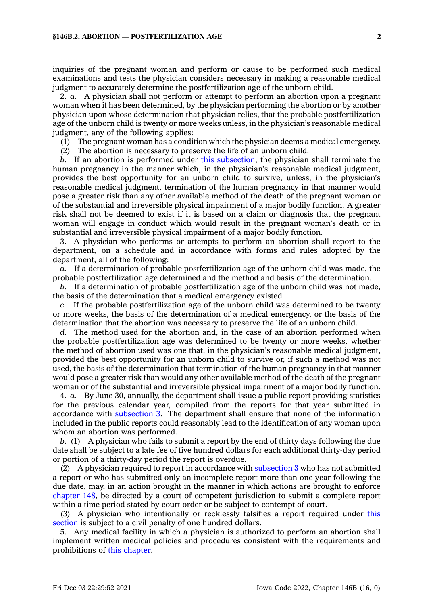inquiries of the pregnant woman and perform or cause to be performed such medical examinations and tests the physician considers necessary in making <sup>a</sup> reasonable medical judgment to accurately determine the postfertilization age of the unborn child.

2. *a.* A physician shall not perform or attempt to perform an abortion upon <sup>a</sup> pregnant woman when it has been determined, by the physician performing the abortion or by another physician upon whose determination that physician relies, that the probable postfertilization age of the unborn child is twenty or more weeks unless, in the physician's reasonable medical judgment, any of the following applies:

(1) The pregnant woman has <sup>a</sup> condition which the physician deems <sup>a</sup> medical emergency.

(2) The abortion is necessary to preserve the life of an unborn child.

*b.* If an abortion is performed under this [subsection](https://www.legis.iowa.gov/docs/code/146B.2.pdf), the physician shall terminate the human pregnancy in the manner which, in the physician's reasonable medical judgment, provides the best opportunity for an unborn child to survive, unless, in the physician's reasonable medical judgment, termination of the human pregnancy in that manner would pose <sup>a</sup> greater risk than any other available method of the death of the pregnant woman or of the substantial and irreversible physical impairment of <sup>a</sup> major bodily function. A greater risk shall not be deemed to exist if it is based on <sup>a</sup> claim or diagnosis that the pregnant woman will engage in conduct which would result in the pregnant woman's death or in substantial and irreversible physical impairment of <sup>a</sup> major bodily function.

3. A physician who performs or attempts to perform an abortion shall report to the department, on <sup>a</sup> schedule and in accordance with forms and rules adopted by the department, all of the following:

*a.* If <sup>a</sup> determination of probable postfertilization age of the unborn child was made, the probable postfertilization age determined and the method and basis of the determination.

*b.* If <sup>a</sup> determination of probable postfertilization age of the unborn child was not made, the basis of the determination that <sup>a</sup> medical emergency existed.

*c.* If the probable postfertilization age of the unborn child was determined to be twenty or more weeks, the basis of the determination of <sup>a</sup> medical emergency, or the basis of the determination that the abortion was necessary to preserve the life of an unborn child.

*d.* The method used for the abortion and, in the case of an abortion performed when the probable postfertilization age was determined to be twenty or more weeks, whether the method of abortion used was one that, in the physician's reasonable medical judgment, provided the best opportunity for an unborn child to survive or, if such <sup>a</sup> method was not used, the basis of the determination that termination of the human pregnancy in that manner would pose <sup>a</sup> greater risk than would any other available method of the death of the pregnant woman or of the substantial and irreversible physical impairment of <sup>a</sup> major bodily function.

4. *a.* By June 30, annually, the department shall issue <sup>a</sup> public report providing statistics for the previous calendar year, compiled from the reports for that year submitted in accordance with [subsection](https://www.legis.iowa.gov/docs/code/146B.2.pdf) 3. The department shall ensure that none of the information included in the public reports could reasonably lead to the identification of any woman upon whom an abortion was performed.

*b.* (1) A physician who fails to submit <sup>a</sup> report by the end of thirty days following the due date shall be subject to <sup>a</sup> late fee of five hundred dollars for each additional thirty-day period or portion of <sup>a</sup> thirty-day period the report is overdue.

(2) A physician required to report in accordance with [subsection](https://www.legis.iowa.gov/docs/code/146B.2.pdf) 3 who has not submitted <sup>a</sup> report or who has submitted only an incomplete report more than one year following the due date, may, in an action brought in the manner in which actions are brought to enforce [chapter](https://www.legis.iowa.gov/docs/code//148.pdf) 148, be directed by <sup>a</sup> court of competent jurisdiction to submit <sup>a</sup> complete report within <sup>a</sup> time period stated by court order or be subject to contempt of court.

(3) A physician who intentionally or recklessly falsifies <sup>a</sup> report required under [this](https://www.legis.iowa.gov/docs/code/146B.2.pdf) [section](https://www.legis.iowa.gov/docs/code/146B.2.pdf) is subject to <sup>a</sup> civil penalty of one hundred dollars.

5. Any medical facility in which <sup>a</sup> physician is authorized to perform an abortion shall implement written medical policies and procedures consistent with the requirements and prohibitions of this [chapter](https://www.legis.iowa.gov/docs/code//146B.pdf).